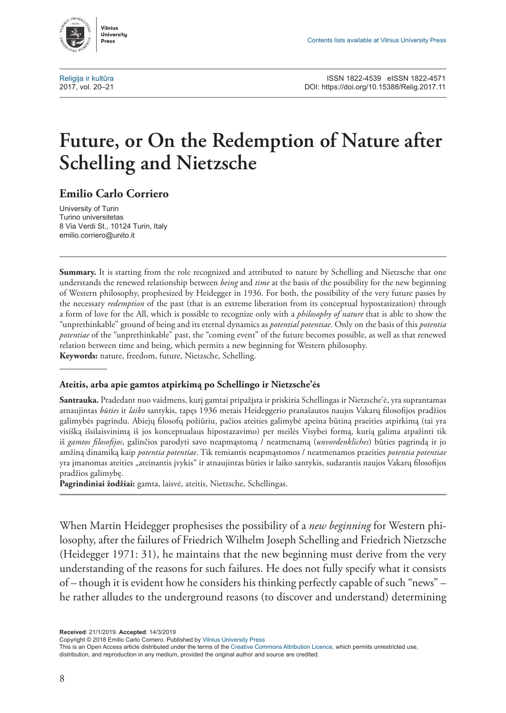

## **Future, or On the Redemption of Nature after Schelling and Nietzsche**

## **Emilio Carlo Corriero**

University of Turin Turino universitetas 8 Via Verdi St., 10124 Turin, Italy [emilio.corriero@unito.it](mailto:emilio.corriero%40unito.it?subject=)

**Summary.** It is starting from the role recognized and attributed to nature by Schelling and Nietzsche that one understands the renewed relationship between *being* and *time* at the basis of the possibility for the new beginning of Western philosophy, prophesized by Heidegger in 1936. For both, the possibility of the very future passes by the necessary *redemption* of the past (that is an extreme liberation from its conceptual hypostatization) through a form of love for the All, which is possible to recognize only with a *philosophy of nature* that is able to show the "unprethinkable" ground of being and its eternal dynamics as *potential potentiae*. Only on the basis of this *potentia potentiae* of the "unprethinkable" past, the "coming event" of the future becomes possible, as well as that renewed relation between time and being, which permits a new beginning for Western philosophy. **Keywords:** nature, freedom, future, Nietzsche, Schelling.

## **Ateitis, arba apie gamtos atpirkimą po Schellingo ir Nietzsche'ės**

**Santrauka.** Pradedant nuo vaidmens, kurį gamtai pripažįsta ir priskiria Schellingas ir Nietzsche'ė, yra suprantamas atnaujintas *būties* ir *laiko* santykis, tapęs 1936 metais Heideggerio pranašautos naujos Vakarų filosofijos pradžios galimybės pagrindu. Abiejų filosofų požiūriu, pačios ateities galimybė apeina būtiną praeities atpirkimą (tai yra visišką išsilaisvinimą iš jos konceptualaus hipostazavimo) per meilės Visybei formą, kurią galima atpažinti tik iš *gamtos filosofijos*, galinčios parodyti savo neapmąstomą / neatmenamą (*unvordenkliches*) būties pagrindą ir jo amžiną dinamiką kaip *potentia potentiae*. Tik remiantis neapmąstomos / neatmenamos praeities *potentia potentiae* yra įmanomas ateities "ateinantis įvykis" ir atnaujintas būties ir laiko santykis, sudarantis naujos Vakarų filosofijos pradžios galimybę.

**Pagrindiniai žodžiai:** gamta, laisvė, ateitis, Nietzsche, Schellingas.

When Martin Heidegger prophesises the possibility of a *new beginning* for Western philosophy, after the failures of Friedrich Wilhelm Joseph Schelling and Friedrich Nietzsche (Heidegger 1971: 31), he maintains that the new beginning must derive from the very understanding of the reasons for such failures. He does not fully specify what it consists of – though it is evident how he considers his thinking perfectly capable of such "news" – he rather alludes to the underground reasons (to discover and understand) determining

**Received**: 21/1/2019. **Accepted**: 14/3/2019

Copyright © 2018 Emilio Carlo Corriero. Published by Vilnius University Press

This is an Open Access article distributed under the terms of the Creative Commons Attribution Licence, which permits unrestricted use, distribution, and reproduction in any medium, provided the original author and source are credited.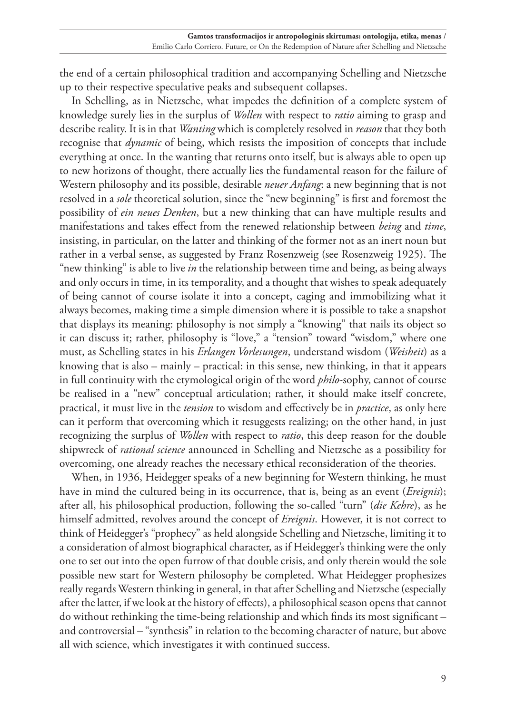the end of a certain philosophical tradition and accompanying Schelling and Nietzsche up to their respective speculative peaks and subsequent collapses.

In Schelling, as in Nietzsche, what impedes the definition of a complete system of knowledge surely lies in the surplus of *Wollen* with respect to *ratio* aiming to grasp and describe reality. It is in that *Wanting* which is completely resolved in *reason* that they both recognise that *dynamic* of being, which resists the imposition of concepts that include everything at once. In the wanting that returns onto itself, but is always able to open up to new horizons of thought, there actually lies the fundamental reason for the failure of Western philosophy and its possible, desirable *neuer Anfang*: a new beginning that is not resolved in a *sole* theoretical solution, since the "new beginning" is first and foremost the possibility of *ein neues Denken*, but a new thinking that can have multiple results and manifestations and takes effect from the renewed relationship between *being* and *time*, insisting, in particular, on the latter and thinking of the former not as an inert noun but rather in a verbal sense, as suggested by Franz Rosenzweig (see Rosenzweig 1925). The "new thinking" is able to live *in* the relationship between time and being, as being always and only occurs in time, in its temporality, and a thought that wishes to speak adequately of being cannot of course isolate it into a concept, caging and immobilizing what it always becomes, making time a simple dimension where it is possible to take a snapshot that displays its meaning: philosophy is not simply a "knowing" that nails its object so it can discuss it; rather, philosophy is "love," a "tension" toward "wisdom," where one must, as Schelling states in his *Erlangen Vorlesungen*, understand wisdom (*Weisheit*) as a knowing that is also – mainly – practical: in this sense, new thinking, in that it appears in full continuity with the etymological origin of the word *philo*-sophy, cannot of course be realised in a "new" conceptual articulation; rather, it should make itself concrete, practical, it must live in the *tension* to wisdom and effectively be in *practice*, as only here can it perform that overcoming which it resuggests realizing; on the other hand, in just recognizing the surplus of *Wollen* with respect to *ratio*, this deep reason for the double shipwreck of *rational science* announced in Schelling and Nietzsche as a possibility for overcoming, one already reaches the necessary ethical reconsideration of the theories.

When, in 1936, Heidegger speaks of a new beginning for Western thinking, he must have in mind the cultured being in its occurrence, that is, being as an event (*Ereignis*); after all, his philosophical production, following the so-called "turn" (*die Kehre*), as he himself admitted, revolves around the concept of *Ereignis*. However, it is not correct to think of Heidegger's "prophecy" as held alongside Schelling and Nietzsche, limiting it to a consideration of almost biographical character, as if Heidegger's thinking were the only one to set out into the open furrow of that double crisis, and only therein would the sole possible new start for Western philosophy be completed. What Heidegger prophesizes really regards Western thinking in general, in that after Schelling and Nietzsche (especially after the latter, if we look at the history of effects), a philosophical season opens that cannot do without rethinking the time-being relationship and which finds its most significant – and controversial – "synthesis" in relation to the becoming character of nature, but above all with science, which investigates it with continued success.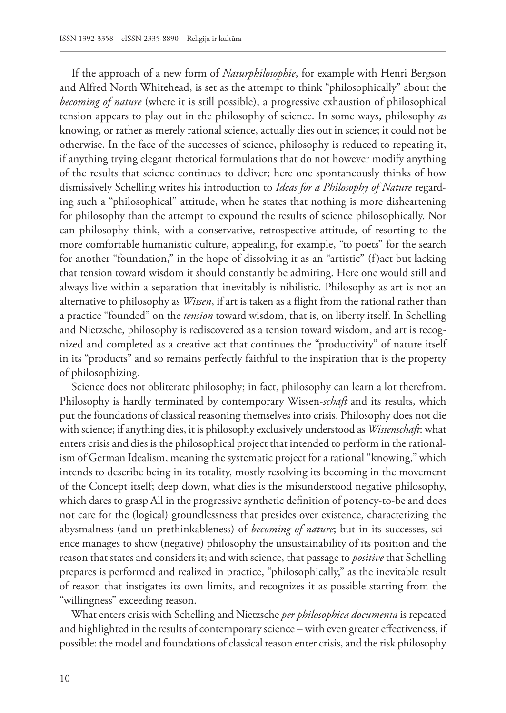If the approach of a new form of *Naturphilosophie*, for example with Henri Bergson and Alfred North Whitehead, is set as the attempt to think "philosophically" about the *becoming of nature* (where it is still possible), a progressive exhaustion of philosophical tension appears to play out in the philosophy of science. In some ways, philosophy *as*  knowing, or rather as merely rational science, actually dies out in science; it could not be otherwise. In the face of the successes of science, philosophy is reduced to repeating it, if anything trying elegant rhetorical formulations that do not however modify anything of the results that science continues to deliver; here one spontaneously thinks of how dismissively Schelling writes his introduction to *Ideas for a Philosophy of Nature* regarding such a "philosophical" attitude, when he states that nothing is more disheartening for philosophy than the attempt to expound the results of science philosophically. Nor can philosophy think, with a conservative, retrospective attitude, of resorting to the more comfortable humanistic culture, appealing, for example, "to poets" for the search for another "foundation," in the hope of dissolving it as an "artistic" (f)act but lacking that tension toward wisdom it should constantly be admiring. Here one would still and always live within a separation that inevitably is nihilistic. Philosophy as art is not an alternative to philosophy as *Wissen*, if art is taken as a flight from the rational rather than a practice "founded" on the *tension* toward wisdom, that is, on liberty itself. In Schelling and Nietzsche, philosophy is rediscovered as a tension toward wisdom, and art is recognized and completed as a creative act that continues the "productivity" of nature itself in its "products" and so remains perfectly faithful to the inspiration that is the property of philosophizing.

Science does not obliterate philosophy; in fact, philosophy can learn a lot therefrom. Philosophy is hardly terminated by contemporary Wissen-*schaft* and its results, which put the foundations of classical reasoning themselves into crisis. Philosophy does not die with science; if anything dies, it is philosophy exclusively understood as *Wissenschaft*: what enters crisis and dies is the philosophical project that intended to perform in the rationalism of German Idealism, meaning the systematic project for a rational "knowing," which intends to describe being in its totality, mostly resolving its becoming in the movement of the Concept itself; deep down, what dies is the misunderstood negative philosophy, which dares to grasp All in the progressive synthetic definition of potency-to-be and does not care for the (logical) groundlessness that presides over existence, characterizing the abysmalness (and un-prethinkableness) of *becoming of nature*; but in its successes, science manages to show (negative) philosophy the unsustainability of its position and the reason that states and considers it; and with science, that passage to *positive* that Schelling prepares is performed and realized in practice, "philosophically," as the inevitable result of reason that instigates its own limits, and recognizes it as possible starting from the "willingness" exceeding reason.

What enters crisis with Schelling and Nietzsche *per philosophica documenta* is repeated and highlighted in the results of contemporary science – with even greater effectiveness, if possible: the model and foundations of classical reason enter crisis, and the risk philosophy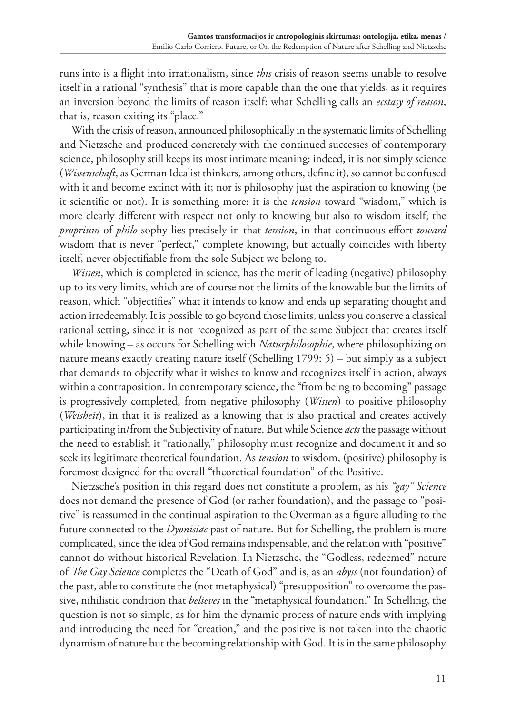runs into is a flight into irrationalism, since *this* crisis of reason seems unable to resolve itself in a rational "synthesis" that is more capable than the one that yields, as it requires an inversion beyond the limits of reason itself: what Schelling calls an *ecstasy of reason*, that is, reason exiting its "place."

With the crisis of reason, announced philosophically in the systematic limits of Schelling and Nietzsche and produced concretely with the continued successes of contemporary science, philosophy still keeps its most intimate meaning: indeed, it is not simply science (*Wissenschaft*, as German Idealist thinkers, among others, define it), so cannot be confused with it and become extinct with it; nor is philosophy just the aspiration to knowing (be it scientific or not). It is something more: it is the *tension* toward "wisdom," which is more clearly different with respect not only to knowing but also to wisdom itself; the *proprium* of *philo*-sophy lies precisely in that *tension*, in that continuous effort *toward* wisdom that is never "perfect," complete knowing, but actually coincides with liberty itself, never objectifiable from the sole Subject we belong to.

*Wissen*, which is completed in science, has the merit of leading (negative) philosophy up to its very limits, which are of course not the limits of the knowable but the limits of reason, which "objectifies" what it intends to know and ends up separating thought and action irredeemably. It is possible to go beyond those limits, unless you conserve a classical rational setting, since it is not recognized as part of the same Subject that creates itself while knowing – as occurs for Schelling with *Naturphilosophie*, where philosophizing on nature means exactly creating nature itself (Schelling 1799: 5) – but simply as a subject that demands to objectify what it wishes to know and recognizes itself in action, always within a contraposition. In contemporary science, the "from being to becoming" passage is progressively completed, from negative philosophy (*Wissen*) to positive philosophy (*Weisheit*), in that it is realized as a knowing that is also practical and creates actively participating in/from the Subjectivity of nature. But while Science *acts* the passage without the need to establish it "rationally," philosophy must recognize and document it and so seek its legitimate theoretical foundation. As *tension* to wisdom, (positive) philosophy is foremost designed for the overall "theoretical foundation" of the Positive.

Nietzsche's position in this regard does not constitute a problem, as his *"gay" Science*  does not demand the presence of God (or rather foundation), and the passage to "positive" is reassumed in the continual aspiration to the Overman as a figure alluding to the future connected to the *Dyonisiac* past of nature. But for Schelling, the problem is more complicated, since the idea of God remains indispensable, and the relation with "positive" cannot do without historical Revelation. In Nietzsche, the "Godless, redeemed" nature of *The Gay Science* completes the "Death of God" and is, as an *abyss* (not foundation) of the past, able to constitute the (not metaphysical) "presupposition" to overcome the passive, nihilistic condition that *believes* in the "metaphysical foundation." In Schelling, the question is not so simple, as for him the dynamic process of nature ends with implying and introducing the need for "creation," and the positive is not taken into the chaotic dynamism of nature but the becoming relationship with God. It is in the same philosophy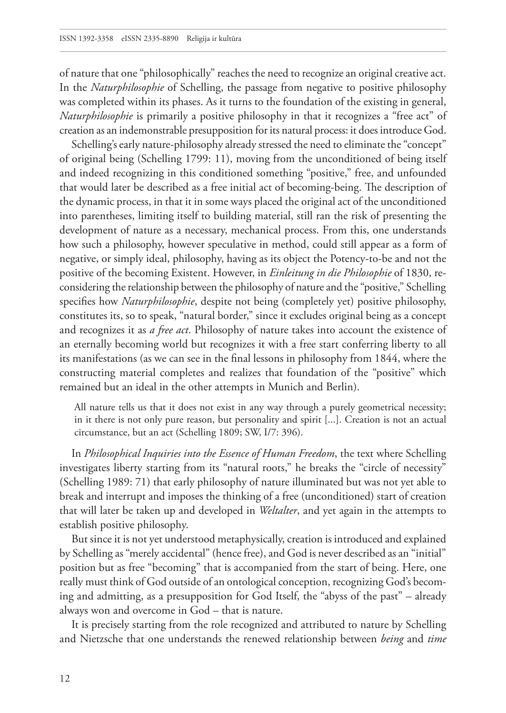of nature that one "philosophically" reaches the need to recognize an original creative act. In the *Naturphilosophie* of Schelling, the passage from negative to positive philosophy was completed within its phases. As it turns to the foundation of the existing in general, *Naturphilosophie* is primarily a positive philosophy in that it recognizes a "free act" of creation as an indemonstrable presupposition for its natural process: it does introduce God.

Schelling's early nature-philosophy already stressed the need to eliminate the "concept" of original being (Schelling 1799: 11), moving from the unconditioned of being itself and indeed recognizing in this conditioned something "positive," free, and unfounded that would later be described as a free initial act of becoming-being. The description of the dynamic process, in that it in some ways placed the original act of the unconditioned into parentheses, limiting itself to building material, still ran the risk of presenting the development of nature as a necessary, mechanical process. From this, one understands how such a philosophy, however speculative in method, could still appear as a form of negative, or simply ideal, philosophy, having as its object the Potency-to-be and not the positive of the becoming Existent. However, in *Einleitung in die Philosophie* of 1830, reconsidering the relationship between the philosophy of nature and the "positive," Schelling specifies how *Naturphilosophie*, despite not being (completely yet) positive philosophy, constitutes its, so to speak, "natural border," since it excludes original being as a concept and recognizes it as *a free act*. Philosophy of nature takes into account the existence of an eternally becoming world but recognizes it with a free start conferring liberty to all its manifestations (as we can see in the final lessons in philosophy from 1844, where the constructing material completes and realizes that foundation of the "positive" which remained but an ideal in the other attempts in Munich and Berlin).

All nature tells us that it does not exist in any way through a purely geometrical necessity; in it there is not only pure reason, but personality and spirit [...]. Creation is not an actual circumstance, but an act (Schelling 1809; SW, I/7: 396).

In *Philosophical Inquiries into the Essence of Human Freedom*, the text where Schelling investigates liberty starting from its "natural roots," he breaks the "circle of necessity" (Schelling 1989: 71) that early philosophy of nature illuminated but was not yet able to break and interrupt and imposes the thinking of a free (unconditioned) start of creation that will later be taken up and developed in *Weltalter*, and yet again in the attempts to establish positive philosophy.

But since it is not yet understood metaphysically, creation is introduced and explained by Schelling as "merely accidental" (hence free), and God is never described as an "initial" position but as free "becoming" that is accompanied from the start of being. Here, one really must think of God outside of an ontological conception, recognizing God's becoming and admitting, as a presupposition for God Itself, the "abyss of the past" – already always won and overcome in God – that is nature.

It is precisely starting from the role recognized and attributed to nature by Schelling and Nietzsche that one understands the renewed relationship between *being* and *time*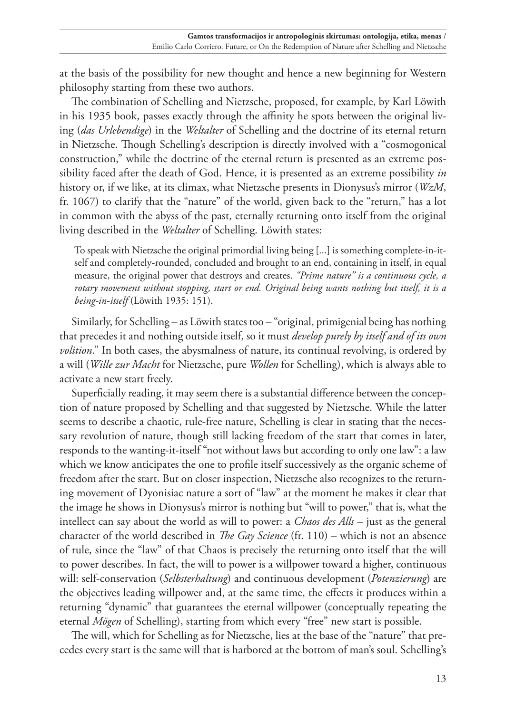at the basis of the possibility for new thought and hence a new beginning for Western philosophy starting from these two authors.

The combination of Schelling and Nietzsche, proposed, for example, by Karl Löwith in his 1935 book, passes exactly through the affinity he spots between the original living (*das Urlebendige*) in the *Weltalter* of Schelling and the doctrine of its eternal return in Nietzsche. Though Schelling's description is directly involved with a "cosmogonical construction," while the doctrine of the eternal return is presented as an extreme possibility faced after the death of God. Hence, it is presented as an extreme possibility *in* history or, if we like, at its climax, what Nietzsche presents in Dionysus's mirror (*WzM*, fr. 1067) to clarify that the "nature" of the world, given back to the "return," has a lot in common with the abyss of the past, eternally returning onto itself from the original living described in the *Weltalter* of Schelling. Löwith states:

To speak with Nietzsche the original primordial living being [...] is something complete-in-itself and completely-rounded, concluded and brought to an end, containing in itself, in equal measure, the original power that destroys and creates. *"Prime nature" is a continuous cycle, a rotary movement without stopping, start or end. Original being wants nothing but itself, it is a being-in-itself* (Löwith 1935: 151).

Similarly, for Schelling – as Löwith states too – "original, primigenial being has nothing that precedes it and nothing outside itself, so it must *develop purely by itself and of its own volition*." In both cases, the abysmalness of nature, its continual revolving, is ordered by a will (*Wille zur Macht* for Nietzsche, pure *Wollen* for Schelling), which is always able to activate a new start freely.

Superficially reading, it may seem there is a substantial difference between the conception of nature proposed by Schelling and that suggested by Nietzsche. While the latter seems to describe a chaotic, rule-free nature, Schelling is clear in stating that the necessary revolution of nature, though still lacking freedom of the start that comes in later, responds to the wanting-it-itself "not without laws but according to only one law": a law which we know anticipates the one to profile itself successively as the organic scheme of freedom after the start. But on closer inspection, Nietzsche also recognizes to the returning movement of Dyonisiac nature a sort of "law" at the moment he makes it clear that the image he shows in Dionysus's mirror is nothing but "will to power," that is, what the intellect can say about the world as will to power: a *Chaos des Alls* – just as the general character of the world described in *The Gay Science* (fr. 110) – which is not an absence of rule, since the "law" of that Chaos is precisely the returning onto itself that the will to power describes. In fact, the will to power is a willpower toward a higher, continuous will: self-conservation (*Selbsterhaltung*) and continuous development (*Potenzierung*) are the objectives leading willpower and, at the same time, the effects it produces within a returning "dynamic" that guarantees the eternal willpower (conceptually repeating the eternal *Mögen* of Schelling), starting from which every "free" new start is possible.

The will, which for Schelling as for Nietzsche, lies at the base of the "nature" that precedes every start is the same will that is harbored at the bottom of man's soul. Schelling's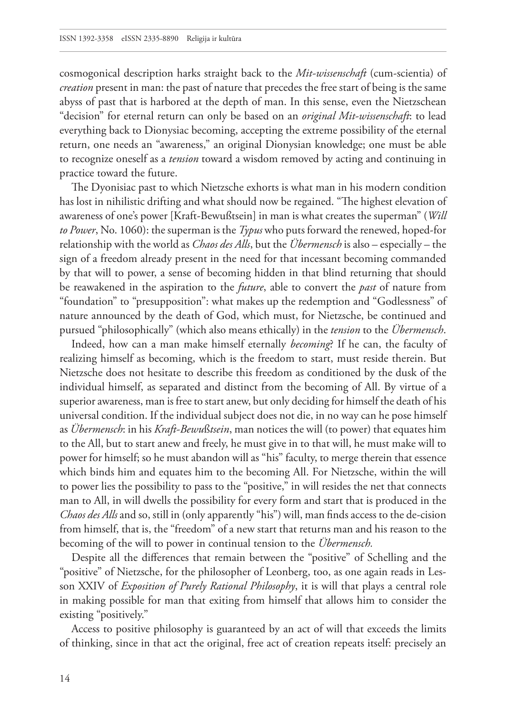cosmogonical description harks straight back to the *Mit-wissenschaft* (cum-scientia) of *creation* present in man: the past of nature that precedes the free start of being is the same abyss of past that is harbored at the depth of man. In this sense, even the Nietzschean "decision" for eternal return can only be based on an *original Mit-wissenschaft*: to lead everything back to Dionysiac becoming, accepting the extreme possibility of the eternal return, one needs an "awareness," an original Dionysian knowledge; one must be able to recognize oneself as a *tension* toward a wisdom removed by acting and continuing in practice toward the future.

The Dyonisiac past to which Nietzsche exhorts is what man in his modern condition has lost in nihilistic drifting and what should now be regained. "The highest elevation of awareness of one's power [Kraft-Bewußtsein] in man is what creates the superman" (*Will to Power*, No. 1060): the superman is the *Typus* who puts forward the renewed, hoped-for relationship with the world as *Chaos des Alls*, but the *Übermensch* is also – especially – the sign of a freedom already present in the need for that incessant becoming commanded by that will to power, a sense of becoming hidden in that blind returning that should be reawakened in the aspiration to the *future*, able to convert the *past* of nature from "foundation" to "presupposition": what makes up the redemption and "Godlessness" of nature announced by the death of God, which must, for Nietzsche, be continued and pursued "philosophically" (which also means ethically) in the *tension* to the *Übermensch*.

Indeed, how can a man make himself eternally *becoming*? If he can, the faculty of realizing himself as becoming, which is the freedom to start, must reside therein. But Nietzsche does not hesitate to describe this freedom as conditioned by the dusk of the individual himself, as separated and distinct from the becoming of All. By virtue of a superior awareness, man is free to start anew, but only deciding for himself the death of his universal condition. If the individual subject does not die, in no way can he pose himself as *Übermensch*: in his *Kraft-Bewu*ß*tsein*, man notices the will (to power) that equates him to the All, but to start anew and freely, he must give in to that will, he must make will to power for himself; so he must abandon will as "his" faculty, to merge therein that essence which binds him and equates him to the becoming All. For Nietzsche, within the will to power lies the possibility to pass to the "positive," in will resides the net that connects man to All, in will dwells the possibility for every form and start that is produced in the *Chaos des Alls* and so, still in (only apparently "his") will, man finds access to the de-cision from himself, that is, the "freedom" of a new start that returns man and his reason to the becoming of the will to power in continual tension to the *Übermensch.*

Despite all the differences that remain between the "positive" of Schelling and the "positive" of Nietzsche, for the philosopher of Leonberg, too, as one again reads in Lesson XXIV of *Exposition of Purely Rational Philosophy*, it is will that plays a central role in making possible for man that exiting from himself that allows him to consider the existing "positively."

Access to positive philosophy is guaranteed by an act of will that exceeds the limits of thinking, since in that act the original, free act of creation repeats itself: precisely an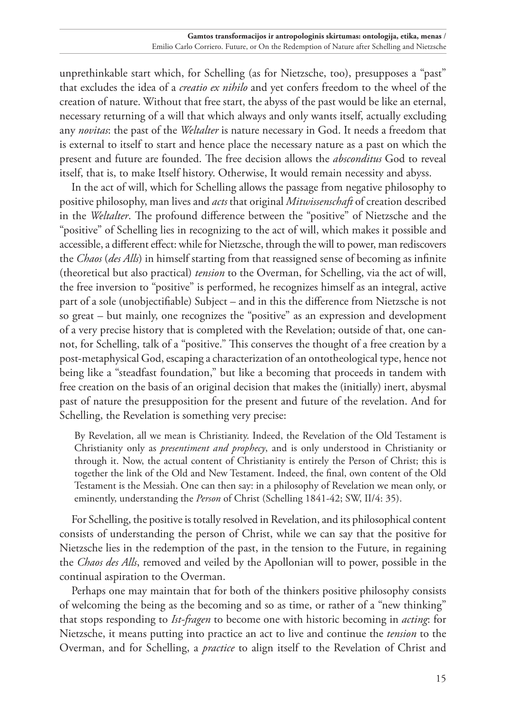unprethinkable start which, for Schelling (as for Nietzsche, too), presupposes a "past" that excludes the idea of a *creatio ex nihilo* and yet confers freedom to the wheel of the creation of nature. Without that free start, the abyss of the past would be like an eternal, necessary returning of a will that which always and only wants itself, actually excluding any *novitas*: the past of the *Weltalter* is nature necessary in God. It needs a freedom that is external to itself to start and hence place the necessary nature as a past on which the present and future are founded. The free decision allows the *absconditus* God to reveal itself, that is, to make Itself history. Otherwise, It would remain necessity and abyss.

In the act of will, which for Schelling allows the passage from negative philosophy to positive philosophy, man lives and *acts* that original *Mitwissenschaft* of creation described in the *Weltalter*. The profound difference between the "positive" of Nietzsche and the "positive" of Schelling lies in recognizing to the act of will, which makes it possible and accessible, a different effect: while for Nietzsche, through the will to power, man rediscovers the *Chaos* (*des Alls*) in himself starting from that reassigned sense of becoming as infinite (theoretical but also practical) *tension* to the Overman, for Schelling, via the act of will, the free inversion to "positive" is performed, he recognizes himself as an integral, active part of a sole (unobjectifiable) Subject – and in this the difference from Nietzsche is not so great – but mainly, one recognizes the "positive" as an expression and development of a very precise history that is completed with the Revelation; outside of that, one cannot, for Schelling, talk of a "positive." This conserves the thought of a free creation by a post-metaphysical God, escaping a characterization of an ontotheological type, hence not being like a "steadfast foundation," but like a becoming that proceeds in tandem with free creation on the basis of an original decision that makes the (initially) inert, abysmal past of nature the presupposition for the present and future of the revelation. And for Schelling, the Revelation is something very precise:

By Revelation, all we mean is Christianity. Indeed, the Revelation of the Old Testament is Christianity only as *presentiment and prophecy*, and is only understood in Christianity or through it. Now, the actual content of Christianity is entirely the Person of Christ; this is together the link of the Old and New Testament. Indeed, the final, own content of the Old Testament is the Messiah. One can then say: in a philosophy of Revelation we mean only, or eminently, understanding the *Person* of Christ (Schelling 1841-42; SW, II/4: 35).

For Schelling, the positive is totally resolved in Revelation, and its philosophical content consists of understanding the person of Christ, while we can say that the positive for Nietzsche lies in the redemption of the past, in the tension to the Future, in regaining the *Chaos des Alls*, removed and veiled by the Apollonian will to power, possible in the continual aspiration to the Overman.

Perhaps one may maintain that for both of the thinkers positive philosophy consists of welcoming the being as the becoming and so as time, or rather of a "new thinking" that stops responding to *Ist-fragen* to become one with historic becoming in *acting*: for Nietzsche, it means putting into practice an act to live and continue the *tension* to the Overman, and for Schelling, a *practice* to align itself to the Revelation of Christ and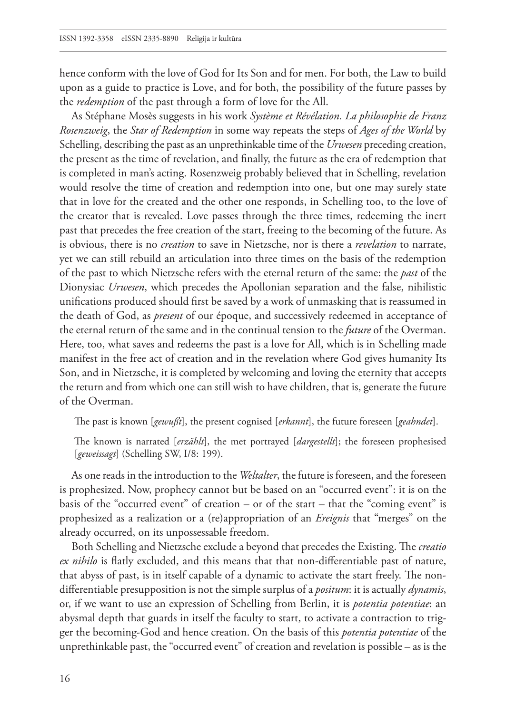hence conform with the love of God for Its Son and for men. For both, the Law to build upon as a guide to practice is Love, and for both, the possibility of the future passes by the *redemption* of the past through a form of love for the All.

As Stéphane Mosès suggests in his work *Système et Révélation. La philosophie de Franz Rosenzweig*, the *Star of Redemption* in some way repeats the steps of *Ages of the World* by Schelling, describing the past as an unprethinkable time of the *Urwesen* preceding creation, the present as the time of revelation, and finally, the future as the era of redemption that is completed in man's acting. Rosenzweig probably believed that in Schelling, revelation would resolve the time of creation and redemption into one, but one may surely state that in love for the created and the other one responds, in Schelling too, to the love of the creator that is revealed. Love passes through the three times, redeeming the inert past that precedes the free creation of the start, freeing to the becoming of the future. As is obvious, there is no *creation* to save in Nietzsche, nor is there a *revelation* to narrate, yet we can still rebuild an articulation into three times on the basis of the redemption of the past to which Nietzsche refers with the eternal return of the same: the *past* of the Dionysiac *Urwesen*, which precedes the Apollonian separation and the false, nihilistic unifications produced should first be saved by a work of unmasking that is reassumed in the death of God, as *present* of our époque, and successively redeemed in acceptance of the eternal return of the same and in the continual tension to the *future* of the Overman. Here, too, what saves and redeems the past is a love for All, which is in Schelling made manifest in the free act of creation and in the revelation where God gives humanity Its Son, and in Nietzsche, it is completed by welcoming and loving the eternity that accepts the return and from which one can still wish to have children, that is, generate the future of the Overman.

The past is known [*gewußt*], the present cognised [*erkannt*], the future foreseen [*geahndet*].

The known is narrated [*erzählt*], the met portrayed [*dargestellt*]; the foreseen prophesised [*geweissagt*] (Schelling SW, I/8: 199).

As one reads in the introduction to the *Weltalter*, the future is foreseen, and the foreseen is prophesized. Now, prophecy cannot but be based on an "occurred event": it is on the basis of the "occurred event" of creation – or of the start – that the "coming event" is prophesized as a realization or a (re)appropriation of an *Ereignis* that "merges" on the already occurred, on its unpossessable freedom.

Both Schelling and Nietzsche exclude a beyond that precedes the Existing. The *creatio ex nihilo* is flatly excluded, and this means that that non-differentiable past of nature, that abyss of past, is in itself capable of a dynamic to activate the start freely. The nondifferentiable presupposition is not the simple surplus of a *positum*: it is actually *dynamis*, or, if we want to use an expression of Schelling from Berlin, it is *potentia potentiae*: an abysmal depth that guards in itself the faculty to start, to activate a contraction to trigger the becoming-God and hence creation. On the basis of this *potentia potentiae* of the unprethinkable past, the "occurred event" of creation and revelation is possible – as is the